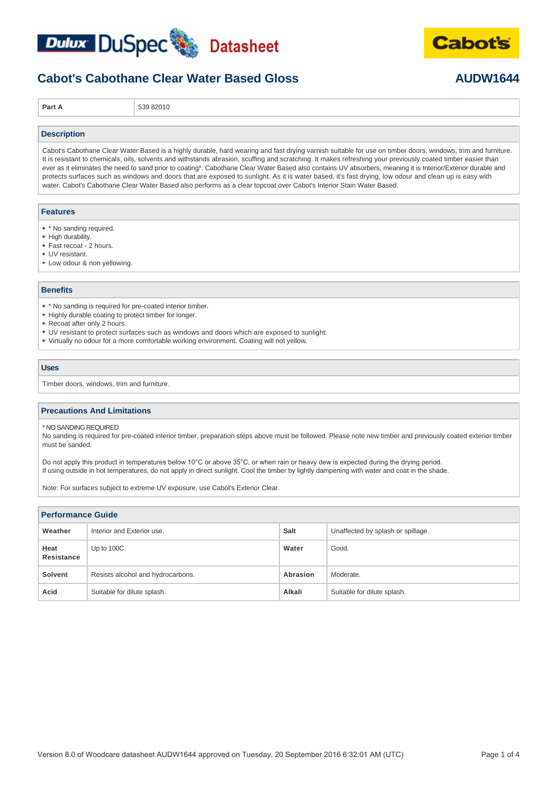



## **Cabot's Cabothane Clear Water Based Gloss <b>AUDW1644**

**Part A** 539 82010

### **Description**

Cabot's Cabothane Clear Water Based is a highly durable, hard wearing and fast drying varnish suitable for use on timber doors, windows, trim and furniture. It is resistant to chemicals, oils, solvents and withstands abrasion, scuffing and scratching. It makes refreshing your previously coated timber easier than ever as it eliminates the need to sand prior to coating\*. Cabothane Clear Water Based also contains UV absorbers, meaning it is Interior/Exterior durable and protects surfaces such as windows and doors that are exposed to sunlight. As it is water based, it's fast drying, low odour and clean up is easy with water. Cabot's Cabothane Clear Water Based also performs as a clear topcoat over Cabot's Interior Stain Water Based.

#### **Features**

- \* \* No sanding required.
- High durability.
- Fast recoat 2 hours.
- UV resistant.
- Low odour & non yellowing.

#### **Benefits**

- \* No sanding is required for pre-coated interior timber.
- Highly durable coating to protect timber for longer.
- Recoat after only 2 hours.
- UV resistant to protect surfaces such as windows and doors which are exposed to sunlight.
- Virtually no odour for a more comfortable working environment. Coating will not yellow.

#### **Uses**

Timber doors, windows, trim and furniture.

#### **Precautions And Limitations**

\* NO SANDING REQUIRED

No sanding is required for pre-coated interior timber, preparation steps above must be followed. Please note new timber and previously coated exterior timber must be sanded.

Do not apply this product in temperatures below 10°C or above 35°C, or when rain or heavy dew is expected during the drying period. If using outside in hot temperatures, do not apply in direct sunlight. Cool the timber by lightly dampening with water and coat in the shade.

Note: For surfaces subject to extreme UV exposure, use Cabot's Exterior Clear.

| <b>Performance Guide</b> |                                   |          |                                   |  |
|--------------------------|-----------------------------------|----------|-----------------------------------|--|
| Weather                  | Interior and Exterior use.        | Salt     | Unaffected by splash or spillage. |  |
| Heat<br>Resistance       | Up to 100C.                       | Water    | Good.                             |  |
| <b>Solvent</b>           | Resists alcohol and hydrocarbons. | Abrasion | Moderate.                         |  |
| Acid                     | Suitable for dilute splash.       | Alkali   | Suitable for dilute splash.       |  |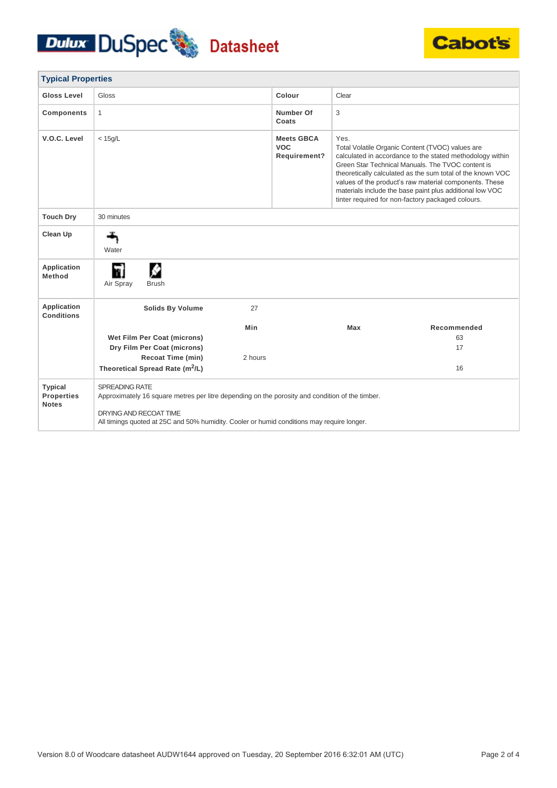## Dulux DuSpec Datasheet



| <b>Typical Properties</b>                           |                                                                                                                                                                                                                                           |         |                                                 |       |                                                                                                                                                                                                                                                                                                                                                                                                             |
|-----------------------------------------------------|-------------------------------------------------------------------------------------------------------------------------------------------------------------------------------------------------------------------------------------------|---------|-------------------------------------------------|-------|-------------------------------------------------------------------------------------------------------------------------------------------------------------------------------------------------------------------------------------------------------------------------------------------------------------------------------------------------------------------------------------------------------------|
| Gloss Level                                         | Gloss                                                                                                                                                                                                                                     |         | Colour                                          | Clear |                                                                                                                                                                                                                                                                                                                                                                                                             |
| <b>Components</b>                                   | $\mathbf{1}$                                                                                                                                                                                                                              |         | Number Of<br>Coats                              | 3     |                                                                                                                                                                                                                                                                                                                                                                                                             |
| V.O.C. Level                                        | $<$ 15g/L                                                                                                                                                                                                                                 |         | <b>Meets GBCA</b><br><b>VOC</b><br>Requirement? | Yes.  | Total Volatile Organic Content (TVOC) values are<br>calculated in accordance to the stated methodology within<br>Green Star Technical Manuals. The TVOC content is<br>theoretically calculated as the sum total of the known VOC<br>values of the product's raw material components. These<br>materials include the base paint plus additional low VOC<br>tinter required for non-factory packaged colours. |
| <b>Touch Dry</b>                                    | 30 minutes                                                                                                                                                                                                                                |         |                                                 |       |                                                                                                                                                                                                                                                                                                                                                                                                             |
| Clean Up                                            | Water                                                                                                                                                                                                                                     |         |                                                 |       |                                                                                                                                                                                                                                                                                                                                                                                                             |
| <b>Application</b><br>Method                        | ٣I<br>Air Spray<br><b>Brush</b>                                                                                                                                                                                                           |         |                                                 |       |                                                                                                                                                                                                                                                                                                                                                                                                             |
| Application<br><b>Conditions</b>                    | <b>Solids By Volume</b>                                                                                                                                                                                                                   | 27      |                                                 |       |                                                                                                                                                                                                                                                                                                                                                                                                             |
|                                                     |                                                                                                                                                                                                                                           | Min     |                                                 | Max   | Recommended                                                                                                                                                                                                                                                                                                                                                                                                 |
|                                                     | Wet Film Per Coat (microns)                                                                                                                                                                                                               |         |                                                 |       | 63                                                                                                                                                                                                                                                                                                                                                                                                          |
|                                                     | Dry Film Per Coat (microns)                                                                                                                                                                                                               |         |                                                 |       | 17                                                                                                                                                                                                                                                                                                                                                                                                          |
|                                                     | <b>Recoat Time (min)</b>                                                                                                                                                                                                                  | 2 hours |                                                 |       |                                                                                                                                                                                                                                                                                                                                                                                                             |
|                                                     | Theoretical Spread Rate (m <sup>2</sup> /L)                                                                                                                                                                                               |         |                                                 |       | 16                                                                                                                                                                                                                                                                                                                                                                                                          |
| <b>Typical</b><br><b>Properties</b><br><b>Notes</b> | SPREADING RATE<br>Approximately 16 square metres per litre depending on the porosity and condition of the timber.<br>DRYING AND RECOAT TIME<br>All timings quoted at 25C and 50% humidity. Cooler or humid conditions may require longer. |         |                                                 |       |                                                                                                                                                                                                                                                                                                                                                                                                             |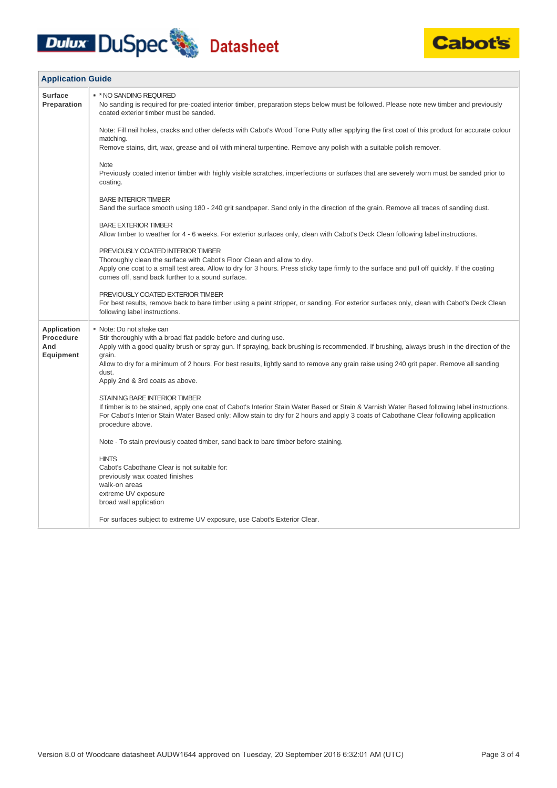# **Dulux DuSpec** Datasheet



| <b>Application Guide</b>                            |                                                                                                                                                                                                                                                                                                                                                                                                                                             |  |
|-----------------------------------------------------|---------------------------------------------------------------------------------------------------------------------------------------------------------------------------------------------------------------------------------------------------------------------------------------------------------------------------------------------------------------------------------------------------------------------------------------------|--|
| <b>Surface</b><br>Preparation                       | * * NO SANDING REQUIRED<br>No sanding is required for pre-coated interior timber, preparation steps below must be followed. Please note new timber and previously<br>coated exterior timber must be sanded.                                                                                                                                                                                                                                 |  |
|                                                     | Note: Fill nail holes, cracks and other defects with Cabot's Wood Tone Putty after applying the first coat of this product for accurate colour<br>matching.                                                                                                                                                                                                                                                                                 |  |
|                                                     | Remove stains, dirt, wax, grease and oil with mineral turpentine. Remove any polish with a suitable polish remover.                                                                                                                                                                                                                                                                                                                         |  |
|                                                     | <b>Note</b><br>Previously coated interior timber with highly visible scratches, imperfections or surfaces that are severely worn must be sanded prior to<br>coating.                                                                                                                                                                                                                                                                        |  |
|                                                     | <b>BARE INTERIOR TIMBER</b><br>Sand the surface smooth using 180 - 240 grit sandpaper. Sand only in the direction of the grain. Remove all traces of sanding dust.                                                                                                                                                                                                                                                                          |  |
|                                                     | <b>BARE EXTERIOR TIMBER</b><br>Allow timber to weather for 4 - 6 weeks. For exterior surfaces only, clean with Cabot's Deck Clean following label instructions.                                                                                                                                                                                                                                                                             |  |
|                                                     | PREVIOUSLY COATED INTERIOR TIMBER<br>Thoroughly clean the surface with Cabot's Floor Clean and allow to dry.<br>Apply one coat to a small test area. Allow to dry for 3 hours. Press sticky tape firmly to the surface and pull off quickly. If the coating<br>comes off, sand back further to a sound surface.                                                                                                                             |  |
|                                                     | PREVIOUSLY COATED EXTERIOR TIMBER<br>For best results, remove back to bare timber using a paint stripper, or sanding. For exterior surfaces only, clean with Cabot's Deck Clean<br>following label instructions.                                                                                                                                                                                                                            |  |
| Application<br>Procedure<br>And<br><b>Equipment</b> | • Note: Do not shake can<br>Stir thoroughly with a broad flat paddle before and during use.<br>Apply with a good quality brush or spray gun. If spraying, back brushing is recommended. If brushing, always brush in the direction of the<br>grain.<br>Allow to dry for a minimum of 2 hours. For best results, lightly sand to remove any grain raise using 240 grit paper. Remove all sanding<br>dust.<br>Apply 2nd & 3rd coats as above. |  |
|                                                     | STAINING BARE INTERIOR TIMBER<br>If timber is to be stained, apply one coat of Cabot's Interior Stain Water Based or Stain & Varnish Water Based following label instructions.<br>For Cabot's Interior Stain Water Based only: Allow stain to dry for 2 hours and apply 3 coats of Cabothane Clear following application<br>procedure above.                                                                                                |  |
|                                                     | Note - To stain previously coated timber, sand back to bare timber before staining.                                                                                                                                                                                                                                                                                                                                                         |  |
|                                                     | <b>HINTS</b><br>Cabot's Cabothane Clear is not suitable for:<br>previously wax coated finishes<br>walk-on areas<br>extreme UV exposure<br>broad wall application                                                                                                                                                                                                                                                                            |  |
|                                                     | For surfaces subject to extreme UV exposure, use Cabot's Exterior Clear.                                                                                                                                                                                                                                                                                                                                                                    |  |